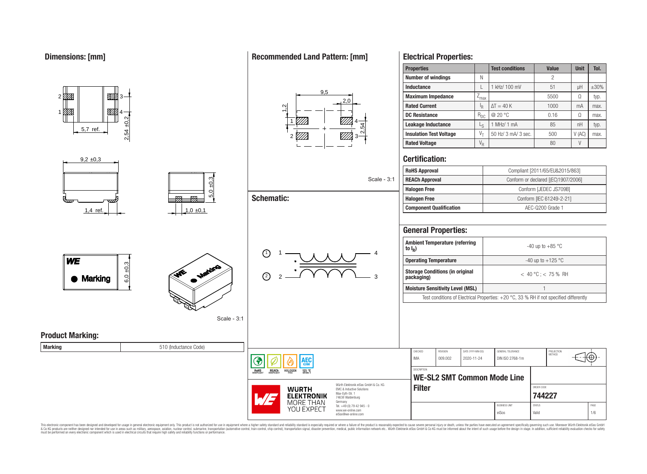1

01 TX

 $9.2 \pm 0.3$ 

5,7 ref.

<u>771 - Johann Str</u>

▨

4

#### 2,54 ±0,2 1 2 *V//A* 3 4 2,54  $9<sub>5</sub>$  $2<sub>0</sub>$  $\frac{1}{2}$ **Electrical Properties: Properties Test conditions Value Unit Tol. Number of windings** N N 2 **Inductance** L 1 kHz/ 100 mV control in the H  $\pm$ 30% **Maximum Impedance**  $\boxed{Z_{\text{max}}}$   $\boxed{Z_{\text{max}}}$   $\boxed{S_{\text{500}}}$   $\boxed{\Omega}$  typ. **Rated Current** I<sub>R</sub>  $\Delta T = 40 \text{ K}$  1000 mA max. **DC Resistance**  $R_{DC}$   $\omega$  20 °C 0.16  $\Omega$  max. **Leakage Inductance** | L<sub>S</sub> 1 MHz/ 1 mA  $\qquad$  1  $\qquad$  85  $\qquad$  1 nH  $\qquad$  typ. **Insulation Test Voltage**  $V_T$  50 Hz/ 3 mA/ 3 sec.  $V$  500  $V$  (AC) max. **Rated Voltage** V<sup>R</sup> 80 V **Certification:**

#### **RoHS Approval** Compliant [2011/65/EU&2015/863]  $5,0 \pm 0,3$ Scale - 3:1 **REACh Approval Conform or declared [(EC)1907/2006] Halogen Free Conform [JEDEC JS709B] Schematic:**  $\overline{r}$ **Halogen Free** Conform [IEC 61249-2-21]  $\overline{\sigma}$ **Component Qualification a AEC-Q200 Grade 1** 1.4 ref.  $\vert$   $\vert$   $\vert$   $\vert$  1.0  $\pm$ 0.1 **General Properties: Ambient Temperature (referring** -40 up to  $+85$  °C **to I<sup>R</sup> )** 1)  $1 - 1$   $1 - 4$ 1 **WE Operating Temperature 1** and 125 °C  $6,0,0,3$ **Storage Conditions (in original packaging)** < 40 °C ; < 75 % RH ىي 2 2 3 Marking **Moisture Sensitivity Level (MSL)** 1 Test conditions of Electrical Properties: +20 °C, 33 % RH if not specified differently Scale - 3:1 **Product Marking: Marking Marking Marking Marking Marking Marking Marking Marking Marking Marking Marking Marking Marking Marking Marking Marking Marking Marking Marking Marking Marking Marking M** CHECKED REVISION DATE (YYYY-MM-DD) GENERAL TOLERANCE PROJECTION IMA 009.002 2020-11-24 DIN ISO 2768-1m Έ ۱EС **DESCRIPTION** RoHS REACh **HALOGEN**  $125 °C$ **WE-SL2 SMT Common Mode Line** Würth Elektronik eiSos GmbH & Co. KG **Filter** ORDER CODE **WURTH** EMC & Inductive Solutions Max-Eyth-Str. 1 **[744227](https://www.we-online.com/catalog/en/article/744227) ELEKTRONIK** 74638 Waldenburg MORE THAN Germany Tel. +49 (0) 79 42 945 - 0 BUSINESS UNIT STATUS STATUS STATUS AND STATUS AND STATUS STATUS STATUS AND STATUS STATUS STATUS STATUS AND STATUS STATUS AND LOCAL AND A STATUS AND LOCAL AND A STATUS AND LOCAL AND A STATUS AND LOCAL AND LOCAL AND LOCAL AN YOU EXPECT www.we-online.com eiSos Valid 1/6 eiSos@we-online.com

This electronic component has been designed and developed for usage in general electronic equipment only. This product is not authorized for use in equipment where a higher safety standard and reliability standard is espec & Ook product a label and the membed of the seasuch as marked and as which such a membed and the such assume that income in the seasuch and the simulation and the such assume that include to the such a membed and the such

## **Recommended Land Pattern: [mm]**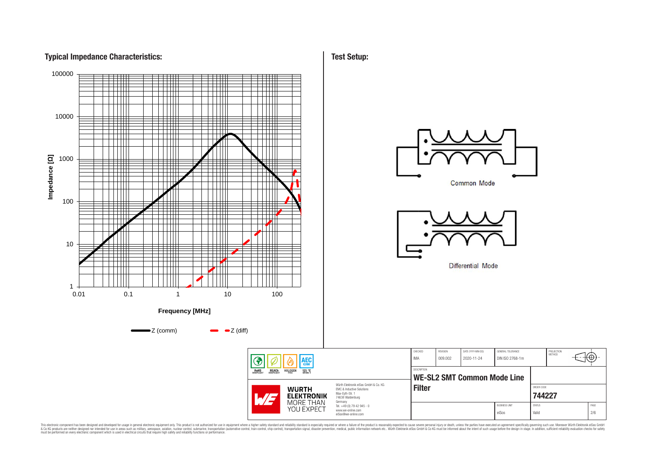## **Typical Impedance Characteristics:**



This electronic component has been designed and developed for usage in general electronic equipment only. This product is not authorized for subserved requipment where a higher selection equipment where a higher selection

**Test Setup:**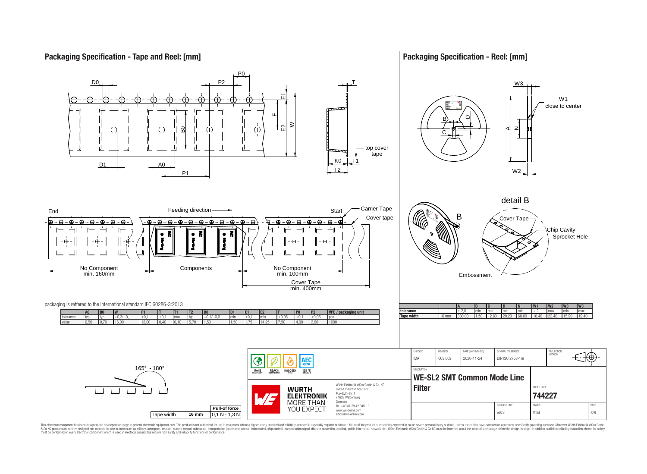## **Packaging Specification - Tape and Reel: [mm]**

## **Packaging Specification - Reel: [mm]**



This electronic component has been designed and developed for usage in general electronic equipment only. This product is not authorized for subserved requipment where a higher selection equipment where a higher selection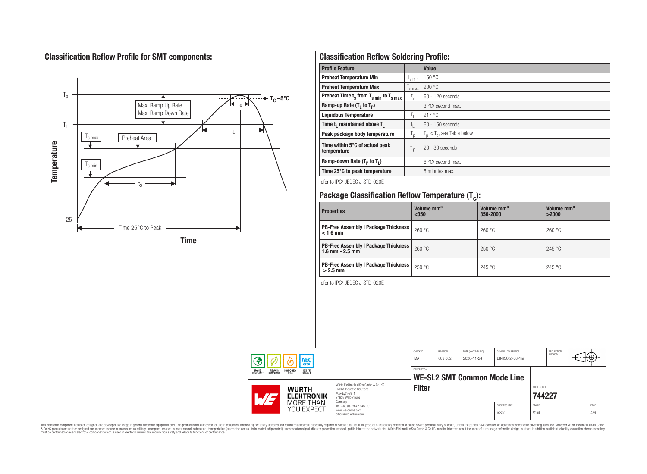# **Classification Reflow Profile for SMT components:**



# **Classification Reflow Soldering Profile:**

| <b>Profile Feature</b>                              |                    | <b>Value</b>                     |
|-----------------------------------------------------|--------------------|----------------------------------|
| <b>Preheat Temperature Min</b>                      | s min              | 150 °C                           |
| <b>Preheat Temperature Max</b>                      | <sup>I</sup> s max | 200 °C                           |
| Preheat Time $t_s$ from $T_{s min}$ to $T_{s max}$  | $t_{\rm s}$        | $60 - 120$ seconds               |
| Ramp-up Rate $(T_1$ to $T_p$ )                      |                    | 3 °C/ second max.                |
| <b>Liquidous Temperature</b>                        | T <sub>L</sub>     | 217°C                            |
| Time t <sub>1</sub> maintained above T <sub>1</sub> | t,                 | 60 - 150 seconds                 |
| Peak package body temperature                       | ' p                | $T_p \leq T_c$ , see Table below |
| Time within 5°C of actual peak<br>temperature       | t <sub>p</sub>     | $20 - 30$ seconds                |
| Ramp-down Rate $(T_p$ to $T_1$ )                    |                    | $6^{\circ}$ C/ second max.       |
| Time 25°C to peak temperature                       |                    | 8 minutes max.                   |

refer to IPC/ JEDEC J-STD-020E

# **Package Classification Reflow Temperature (T<sup>c</sup> ):**

| <b>Properties</b>                                                    | Volume mm <sup>3</sup><br>< 350 | Volume mm <sup>3</sup><br>350-2000 | Volume mm <sup>3</sup><br>>2000 |
|----------------------------------------------------------------------|---------------------------------|------------------------------------|---------------------------------|
| <b>PB-Free Assembly   Package Thickness  </b><br>$< 1.6$ mm          | 260 °C                          | 260 °C                             | 260 °C                          |
| <b>PB-Free Assembly   Package Thickness  </b><br>$1.6$ mm $- 2.5$ mm | 260 °C                          | 250 °C                             | 245 °C                          |
| <b>PB-Free Assembly   Package Thickness  </b><br>$>2.5$ mm           | 250 °C                          | 245 °C                             | 245 °C                          |

refer to IPC/ JEDEC J-STD-020E

| AEC<br><b>REACH</b><br>COMPLIANT<br><b>HALOGEN</b><br>125 °C<br>GRADE 1<br>ROHS<br>COMPLIANT<br>Würth Flektronik eiSos GmbH & Co. KG<br><b>WURTH</b><br>EMC & Inductive Solutions<br>Max-Evth-Str. 1<br><b>ELEKTRONIK</b><br>74638 Waldenburg |                         | CHECKED<br><b>IMA</b>                                                  | REVISION<br>009.002 | DATE (YYYY-MM-DD)<br>2020-11-24 | GENERAL TOLERANCE<br>DIN ISO 2768-1m |                               | PROJECTION<br><b>METHOD</b> |  | €Θ |             |
|-----------------------------------------------------------------------------------------------------------------------------------------------------------------------------------------------------------------------------------------------|-------------------------|------------------------------------------------------------------------|---------------------|---------------------------------|--------------------------------------|-------------------------------|-----------------------------|--|----|-------------|
|                                                                                                                                                                                                                                               |                         | <b>DESCRIPTION</b><br><b>WE-SL2 SMT Common Mode Line</b>               |                     |                                 |                                      |                               |                             |  |    |             |
|                                                                                                                                                                                                                                               |                         | Germany                                                                | <b>Filter</b>       |                                 |                                      |                               | ORDER CODE<br>744227        |  |    |             |
|                                                                                                                                                                                                                                               | MORE THAN<br>YOU EXPECT | Tel. +49 (0) 79 42 945 - 0<br>www.we-online.com<br>eiSos@we-online.com |                     |                                 |                                      | <b>BUSINESS UNIT</b><br>eiSos | <b>STATUS</b><br>Valid      |  |    | PAGE<br>4/6 |

This electronic component has been designed and developed for usage in general electronic equipment only. This product is not authorized for subserved requipment where a higher selection equipment where a higher selection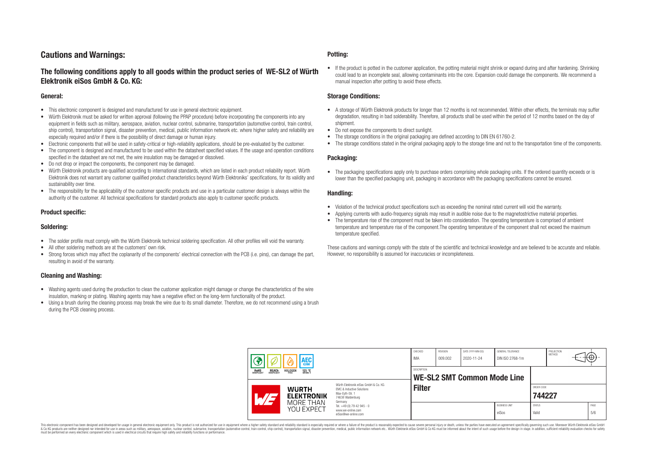## **Cautions and Warnings:**

## **The following conditions apply to all goods within the product series of WE-SL2 of Würth Elektronik eiSos GmbH & Co. KG:**

#### **General:**

- This electronic component is designed and manufactured for use in general electronic equipment.
- Würth Elektronik must be asked for written approval (following the PPAP procedure) before incorporating the components into any equipment in fields such as military, aerospace, aviation, nuclear control, submarine, transportation (automotive control, train control, ship control), transportation signal, disaster prevention, medical, public information network etc. where higher safety and reliability are especially required and/or if there is the possibility of direct damage or human injury.
- Electronic components that will be used in safety-critical or high-reliability applications, should be pre-evaluated by the customer.
- The component is designed and manufactured to be used within the datasheet specified values. If the usage and operation conditions specified in the datasheet are not met, the wire insulation may be damaged or dissolved.
- Do not drop or impact the components, the component may be damaged.
- Würth Elektronik products are qualified according to international standards, which are listed in each product reliability report. Würth Elektronik does not warrant any customer qualified product characteristics beyond Würth Elektroniks' specifications, for its validity and sustainability over time.
- The responsibility for the applicability of the customer specific products and use in a particular customer design is always within the authority of the customer. All technical specifications for standard products also apply to customer specific products.

## **Product specific:**

#### **Soldering:**

- The solder profile must comply with the Würth Elektronik technical soldering specification. All other profiles will void the warranty.
- All other soldering methods are at the customers' own risk.
- Strong forces which may affect the coplanarity of the components' electrical connection with the PCB (i.e. pins), can damage the part, resulting in avoid of the warranty.

## **Cleaning and Washing:**

- Washing agents used during the production to clean the customer application might damage or change the characteristics of the wire insulation, marking or plating. Washing agents may have a negative effect on the long-term functionality of the product.
- Using a brush during the cleaning process may break the wire due to its small diameter. Therefore, we do not recommend using a brush during the PCB cleaning process.

#### **Potting:**

• If the product is potted in the customer application, the potting material might shrink or expand during and after hardening. Shrinking could lead to an incomplete seal, allowing contaminants into the core. Expansion could damage the components. We recommend a manual inspection after potting to avoid these effects.

#### **Storage Conditions:**

- A storage of Würth Elektronik products for longer than 12 months is not recommended. Within other effects, the terminals may suffer degradation, resulting in bad solderability. Therefore, all products shall be used within the period of 12 months based on the day of shipment.
- Do not expose the components to direct sunlight.
- The storage conditions in the original packaging are defined according to DIN EN 61760-2.
- The storage conditions stated in the original packaging apply to the storage time and not to the transportation time of the components.

#### **Packaging:**

• The packaging specifications apply only to purchase orders comprising whole packaging units. If the ordered quantity exceeds or is lower than the specified packaging unit, packaging in accordance with the packaging specifications cannot be ensured.

#### **Handling:**

- Violation of the technical product specifications such as exceeding the nominal rated current will void the warranty.
- Applying currents with audio-frequency signals may result in audible noise due to the magnetostrictive material properties.
- The temperature rise of the component must be taken into consideration. The operating temperature is comprised of ambient temperature and temperature rise of the component.The operating temperature of the component shall not exceed the maximum temperature specified.

These cautions and warnings comply with the state of the scientific and technical knowledge and are believed to be accurate and reliable. However, no responsibility is assumed for inaccuracies or incompleteness.

|                                                                                                                               | <b>AEC</b><br>0200             |                                                                                        | CHECKED<br><b>IMA</b> | REVISION<br>009.002 | DATE (YYYY-MM-DD)<br>2020-11-24 | GENERAL TOLERANCE<br>DIN ISO 2768-1m |                               | PROJECTION<br>METHOD | ₩⊕)         |
|-------------------------------------------------------------------------------------------------------------------------------|--------------------------------|----------------------------------------------------------------------------------------|-----------------------|---------------------|---------------------------------|--------------------------------------|-------------------------------|----------------------|-------------|
| ROHS<br>COMPLIANT<br><b>REACH</b><br>COMPLIANT<br><b>HALOGEN</b><br>125 °C<br>GRADE 1<br>Würth Elektronik eiSos GmbH & Co. KG |                                | <b>DESCRIPTION</b><br><b>WE-SL2 SMT Common Mode Line</b>                               |                       |                     |                                 |                                      |                               |                      |             |
| <b>WURTH</b>                                                                                                                  | <b>ELEKTRONIK</b><br>MORE THAN | <b>EMC &amp; Inductive Solutions</b><br>Max-Eyth-Str. 1<br>74638 Waldenburg<br>Germany | <b>Filter</b>         |                     |                                 |                                      | ORDER CODE<br>744227          |                      |             |
|                                                                                                                               | YOU EXPECT                     | Tel. +49 (0) 79 42 945 - 0<br>www.we-online.com<br>eiSos@we-online.com                 |                       |                     |                                 | <b>BUSINESS UNIT</b><br>eiSos        | <b>STATUS</b><br><b>Valid</b> |                      | PAGE<br>5/6 |

This electronic component has been designed and developed for usage in general electronic equipment only. This product is not authorized for use in equipment where a higher safety standard and reliability standard si espec & Ook product a label and the membed of the seasuch as marked and as which such a membed and the such assume that income in the seasuch and the simulation and the such assume that include to the such a membed and the such